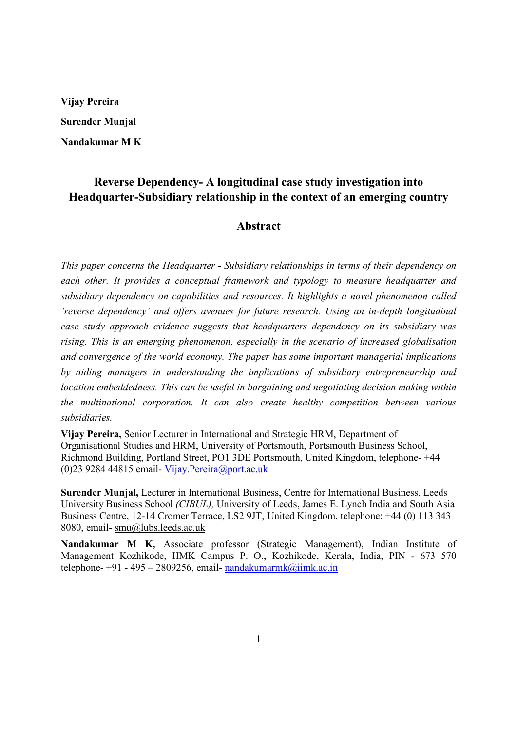**Vijay Pereira Surender Munjal Nandakumar M K** 

## **Reverse Dependency- A longitudinal case study investigation into Headquarter-Subsidiary relationship in the context of an emerging country**

#### **Abstract**

*This paper concerns the Headquarter - Subsidiary relationships in terms of their dependency on each other. It provides a conceptual framework and typology to measure headquarter and subsidiary dependency on capabilities and resources. It highlights a novel phenomenon called 'reverse dependency' and offers avenues for future research. Using an in-depth longitudinal case study approach evidence suggests that headquarters dependency on its subsidiary was rising. This is an emerging phenomenon, especially in the scenario of increased globalisation and convergence of the world economy. The paper has some important managerial implications by aiding managers in understanding the implications of subsidiary entrepreneurship and location embeddedness. This can be useful in bargaining and negotiating decision making within the multinational corporation. It can also create healthy competition between various subsidiaries.* 

**Vijay Pereira,** Senior Lecturer in International and Strategic HRM, Department of Organisational Studies and HRM, University of Portsmouth, Portsmouth Business School, Richmond Building, Portland Street, PO1 3DE Portsmouth, United Kingdom, telephone- +44 (0)23 9284 44815 email- Vijay.Pereira@port.ac.uk

**Surender Munjal,** Lecturer in International Business, Centre for International Business, Leeds University Business School *(CIBUL),* University of Leeds, James E. Lynch India and South Asia Business Centre, 12-14 Cromer Terrace, LS2 9JT, United Kingdom, telephone: +44 (0) 113 343 8080, email- smu@lubs.leeds.ac.uk

**Nandakumar M K,** Associate professor (Strategic Management), Indian Institute of Management Kozhikode, IIMK Campus P. O., Kozhikode, Kerala, India, PIN - 673 570 telephone-  $+91 - 495 - 2809256$ , email-nandakumarmk@iimk.ac.in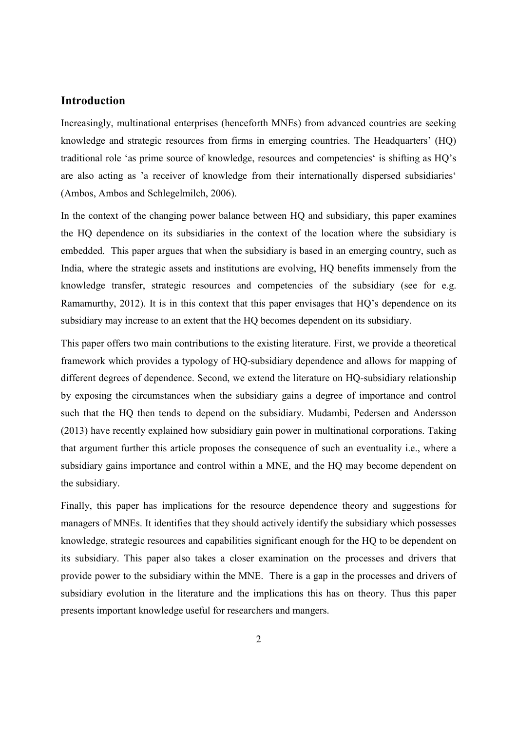## **Introduction**

Increasingly, multinational enterprises (henceforth MNEs) from advanced countries are seeking knowledge and strategic resources from firms in emerging countries. The Headquarters' (HQ) traditional role 'as prime source of knowledge, resources and competencies' is shifting as HQ's are also acting as 'a receiver of knowledge from their internationally dispersed subsidiaries' (Ambos, Ambos and Schlegelmilch, 2006).

In the context of the changing power balance between HQ and subsidiary, this paper examines the HQ dependence on its subsidiaries in the context of the location where the subsidiary is embedded. This paper argues that when the subsidiary is based in an emerging country, such as India, where the strategic assets and institutions are evolving, HQ benefits immensely from the knowledge transfer, strategic resources and competencies of the subsidiary (see for e.g. Ramamurthy, 2012). It is in this context that this paper envisages that HQ's dependence on its subsidiary may increase to an extent that the HQ becomes dependent on its subsidiary.

This paper offers two main contributions to the existing literature. First, we provide a theoretical framework which provides a typology of HQ-subsidiary dependence and allows for mapping of different degrees of dependence. Second, we extend the literature on HQ-subsidiary relationship by exposing the circumstances when the subsidiary gains a degree of importance and control such that the HQ then tends to depend on the subsidiary. Mudambi, Pedersen and Andersson (2013) have recently explained how subsidiary gain power in multinational corporations. Taking that argument further this article proposes the consequence of such an eventuality i.e., where a subsidiary gains importance and control within a MNE, and the HQ may become dependent on the subsidiary.

Finally, this paper has implications for the resource dependence theory and suggestions for managers of MNEs. It identifies that they should actively identify the subsidiary which possesses knowledge, strategic resources and capabilities significant enough for the HQ to be dependent on its subsidiary. This paper also takes a closer examination on the processes and drivers that provide power to the subsidiary within the MNE. There is a gap in the processes and drivers of subsidiary evolution in the literature and the implications this has on theory. Thus this paper presents important knowledge useful for researchers and mangers.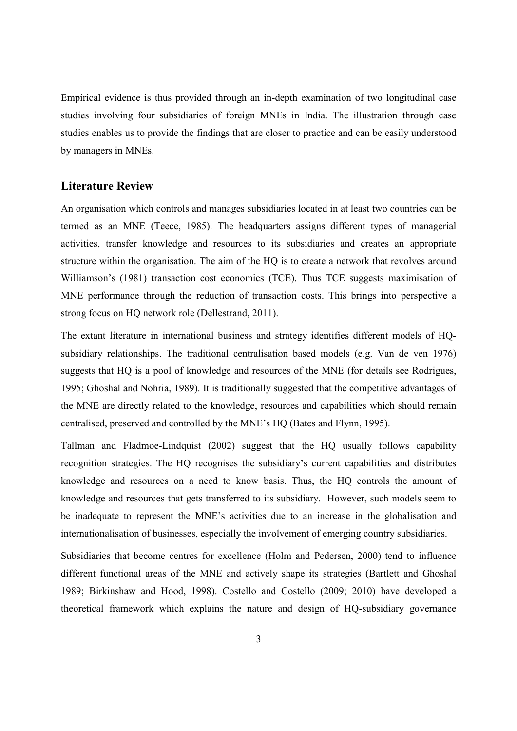Empirical evidence is thus provided through an in-depth examination of two longitudinal case studies involving four subsidiaries of foreign MNEs in India. The illustration through case studies enables us to provide the findings that are closer to practice and can be easily understood by managers in MNEs.

## **Literature Review**

An organisation which controls and manages subsidiaries located in at least two countries can be termed as an MNE (Teece, 1985). The headquarters assigns different types of managerial activities, transfer knowledge and resources to its subsidiaries and creates an appropriate structure within the organisation. The aim of the HQ is to create a network that revolves around Williamson's (1981) transaction cost economics (TCE). Thus TCE suggests maximisation of MNE performance through the reduction of transaction costs. This brings into perspective a strong focus on HQ network role (Dellestrand, 2011).

The extant literature in international business and strategy identifies different models of HQsubsidiary relationships. The traditional centralisation based models (e.g. Van de ven 1976) suggests that HQ is a pool of knowledge and resources of the MNE (for details see Rodrigues, 1995; Ghoshal and Nohria, 1989). It is traditionally suggested that the competitive advantages of the MNE are directly related to the knowledge, resources and capabilities which should remain centralised, preserved and controlled by the MNE's HQ (Bates and Flynn, 1995).

Tallman and Fladmoe-Lindquist (2002) suggest that the HQ usually follows capability recognition strategies. The HQ recognises the subsidiary's current capabilities and distributes knowledge and resources on a need to know basis. Thus, the HQ controls the amount of knowledge and resources that gets transferred to its subsidiary. However, such models seem to be inadequate to represent the MNE's activities due to an increase in the globalisation and internationalisation of businesses, especially the involvement of emerging country subsidiaries.

Subsidiaries that become centres for excellence (Holm and Pedersen, 2000) tend to influence different functional areas of the MNE and actively shape its strategies (Bartlett and Ghoshal 1989; Birkinshaw and Hood, 1998). Costello and Costello (2009; 2010) have developed a theoretical framework which explains the nature and design of HQ-subsidiary governance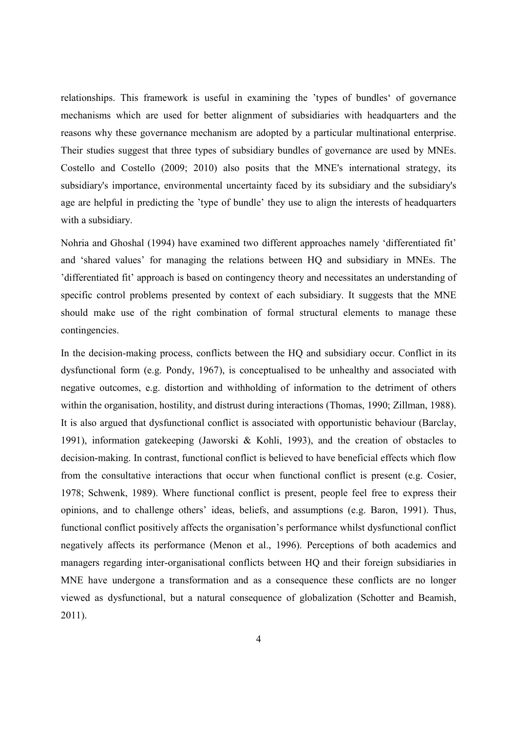relationships. This framework is useful in examining the 'types of bundles' of governance mechanisms which are used for better alignment of subsidiaries with headquarters and the reasons why these governance mechanism are adopted by a particular multinational enterprise. Their studies suggest that three types of subsidiary bundles of governance are used by MNEs. Costello and Costello (2009; 2010) also posits that the MNE's international strategy, its subsidiary's importance, environmental uncertainty faced by its subsidiary and the subsidiary's age are helpful in predicting the 'type of bundle' they use to align the interests of headquarters with a subsidiary.

Nohria and Ghoshal (1994) have examined two different approaches namely 'differentiated fit' and 'shared values' for managing the relations between HQ and subsidiary in MNEs. The 'differentiated fit' approach is based on contingency theory and necessitates an understanding of specific control problems presented by context of each subsidiary. It suggests that the MNE should make use of the right combination of formal structural elements to manage these contingencies.

In the decision-making process, conflicts between the HQ and subsidiary occur. Conflict in its dysfunctional form (e.g. Pondy, 1967), is conceptualised to be unhealthy and associated with negative outcomes, e.g. distortion and withholding of information to the detriment of others within the organisation, hostility, and distrust during interactions (Thomas, 1990; Zillman, 1988). It is also argued that dysfunctional conflict is associated with opportunistic behaviour (Barclay, 1991), information gatekeeping (Jaworski & Kohli, 1993), and the creation of obstacles to decision-making. In contrast, functional conflict is believed to have beneficial effects which flow from the consultative interactions that occur when functional conflict is present (e.g. Cosier, 1978; Schwenk, 1989). Where functional conflict is present, people feel free to express their opinions, and to challenge others' ideas, beliefs, and assumptions (e.g. Baron, 1991). Thus, functional conflict positively affects the organisation's performance whilst dysfunctional conflict negatively affects its performance (Menon et al., 1996). Perceptions of both academics and managers regarding inter-organisational conflicts between HQ and their foreign subsidiaries in MNE have undergone a transformation and as a consequence these conflicts are no longer viewed as dysfunctional, but a natural consequence of globalization (Schotter and Beamish, 2011).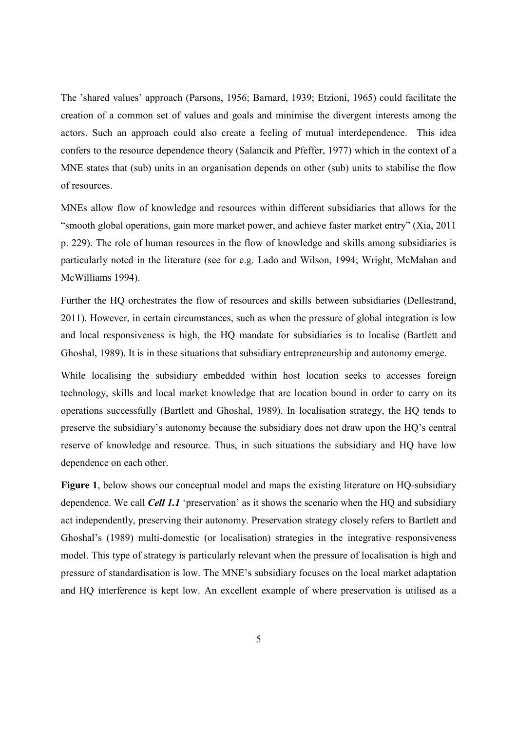The 'shared values' approach (Parsons, 1956; Barnard, 1939; Etzioni, 1965) could facilitate the creation of a common set of values and goals and minimise the divergent interests among the actors. Such an approach could also create a feeling of mutual interdependence. This idea confers to the resource dependence theory (Salancik and Pfeffer, 1977) which in the context of a MNE states that (sub) units in an organisation depends on other (sub) units to stabilise the flow of resources.

MNEs allow flow of knowledge and resources within different subsidiaries that allows for the "smooth global operations, gain more market power, and achieve faster market entry" (Xia, 2011 p. 229). The role of human resources in the flow of knowledge and skills among subsidiaries is particularly noted in the literature (see for e.g. Lado and Wilson, 1994; Wright, McMahan and McWilliams 1994).

Further the HQ orchestrates the flow of resources and skills between subsidiaries (Dellestrand, 2011). However, in certain circumstances, such as when the pressure of global integration is low and local responsiveness is high, the HQ mandate for subsidiaries is to localise (Bartlett and Ghoshal, 1989). It is in these situations that subsidiary entrepreneurship and autonomy emerge.

While localising the subsidiary embedded within host location seeks to accesses foreign technology, skills and local market knowledge that are location bound in order to carry on its operations successfully (Bartlett and Ghoshal, 1989). In localisation strategy, the HQ tends to preserve the subsidiary's autonomy because the subsidiary does not draw upon the HQ's central reserve of knowledge and resource. Thus, in such situations the subsidiary and HQ have low dependence on each other.

**Figure 1**, below shows our conceptual model and maps the existing literature on HQ-subsidiary dependence. We call *Cell 1.1* 'preservation' as it shows the scenario when the HQ and subsidiary act independently, preserving their autonomy. Preservation strategy closely refers to Bartlett and Ghoshal's (1989) multi-domestic (or localisation) strategies in the integrative responsiveness model. This type of strategy is particularly relevant when the pressure of localisation is high and pressure of standardisation is low. The MNE's subsidiary focuses on the local market adaptation and HQ interference is kept low. An excellent example of where preservation is utilised as a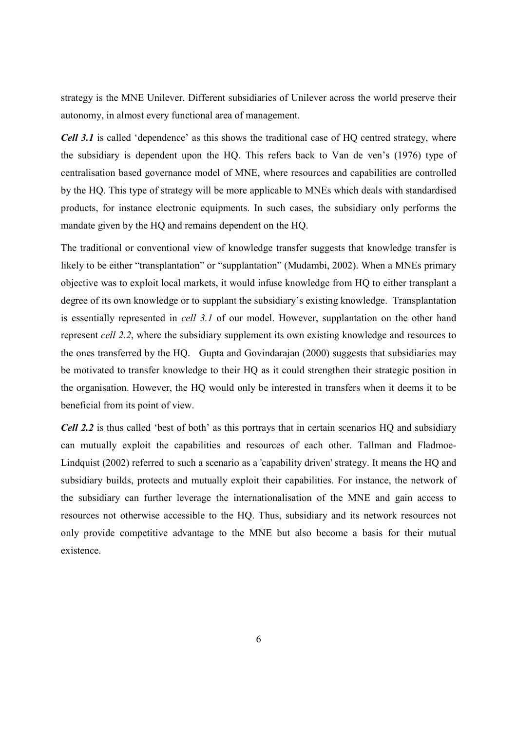strategy is the MNE Unilever. Different subsidiaries of Unilever across the world preserve their autonomy, in almost every functional area of management.

*Cell 3.1* is called 'dependence' as this shows the traditional case of HQ centred strategy, where the subsidiary is dependent upon the HQ. This refers back to Van de ven's (1976) type of centralisation based governance model of MNE, where resources and capabilities are controlled by the HQ. This type of strategy will be more applicable to MNEs which deals with standardised products, for instance electronic equipments. In such cases, the subsidiary only performs the mandate given by the HQ and remains dependent on the HQ.

The traditional or conventional view of knowledge transfer suggests that knowledge transfer is likely to be either "transplantation" or "supplantation" (Mudambi, 2002). When a MNEs primary objective was to exploit local markets, it would infuse knowledge from HQ to either transplant a degree of its own knowledge or to supplant the subsidiary's existing knowledge. Transplantation is essentially represented in *cell 3.1* of our model. However, supplantation on the other hand represent *cell 2.2*, where the subsidiary supplement its own existing knowledge and resources to the ones transferred by the HQ. Gupta and Govindarajan (2000) suggests that subsidiaries may be motivated to transfer knowledge to their HQ as it could strengthen their strategic position in the organisation. However, the HQ would only be interested in transfers when it deems it to be beneficial from its point of view.

*Cell 2.2* is thus called 'best of both' as this portrays that in certain scenarios HQ and subsidiary can mutually exploit the capabilities and resources of each other. Tallman and Fladmoe-Lindquist (2002) referred to such a scenario as a 'capability driven' strategy. It means the HQ and subsidiary builds, protects and mutually exploit their capabilities. For instance, the network of the subsidiary can further leverage the internationalisation of the MNE and gain access to resources not otherwise accessible to the HQ. Thus, subsidiary and its network resources not only provide competitive advantage to the MNE but also become a basis for their mutual existence.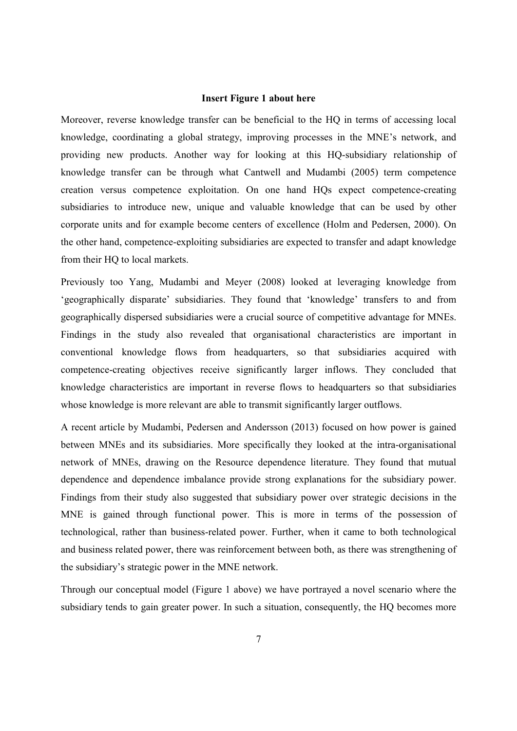#### **Insert Figure 1 about here**

Moreover, reverse knowledge transfer can be beneficial to the HQ in terms of accessing local knowledge, coordinating a global strategy, improving processes in the MNE's network, and providing new products. Another way for looking at this HQ-subsidiary relationship of knowledge transfer can be through what Cantwell and Mudambi (2005) term competence creation versus competence exploitation. On one hand HQs expect competence-creating subsidiaries to introduce new, unique and valuable knowledge that can be used by other corporate units and for example become centers of excellence (Holm and Pedersen, 2000). On the other hand, competence-exploiting subsidiaries are expected to transfer and adapt knowledge from their HQ to local markets.

Previously too Yang, Mudambi and Meyer (2008) looked at leveraging knowledge from 'geographically disparate' subsidiaries. They found that 'knowledge' transfers to and from geographically dispersed subsidiaries were a crucial source of competitive advantage for MNEs. Findings in the study also revealed that organisational characteristics are important in conventional knowledge flows from headquarters, so that subsidiaries acquired with competence-creating objectives receive significantly larger inflows. They concluded that knowledge characteristics are important in reverse flows to headquarters so that subsidiaries whose knowledge is more relevant are able to transmit significantly larger outflows.

A recent article by Mudambi, Pedersen and Andersson (2013) focused on how power is gained between MNEs and its subsidiaries. More specifically they looked at the intra-organisational network of MNEs, drawing on the Resource dependence literature. They found that mutual dependence and dependence imbalance provide strong explanations for the subsidiary power. Findings from their study also suggested that subsidiary power over strategic decisions in the MNE is gained through functional power. This is more in terms of the possession of technological, rather than business-related power. Further, when it came to both technological and business related power, there was reinforcement between both, as there was strengthening of the subsidiary's strategic power in the MNE network.

Through our conceptual model (Figure 1 above) we have portrayed a novel scenario where the subsidiary tends to gain greater power. In such a situation, consequently, the HQ becomes more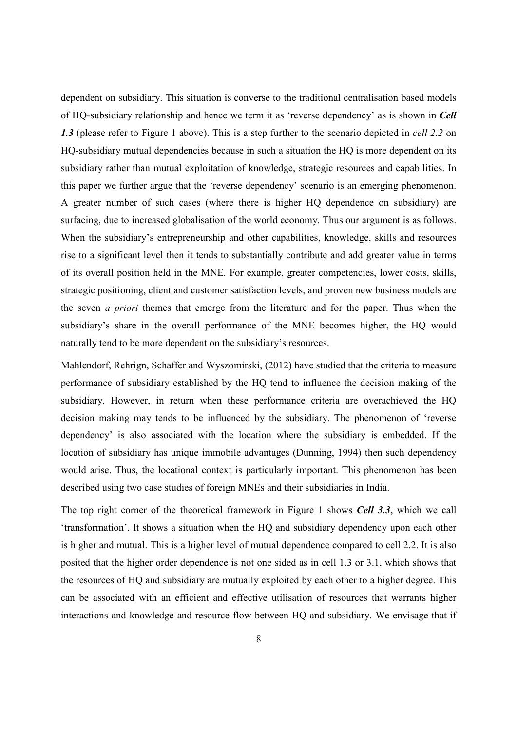dependent on subsidiary. This situation is converse to the traditional centralisation based models of HQ-subsidiary relationship and hence we term it as 'reverse dependency' as is shown in *Cell 1.3* (please refer to Figure 1 above). This is a step further to the scenario depicted in *cell 2.2* on HQ-subsidiary mutual dependencies because in such a situation the HQ is more dependent on its subsidiary rather than mutual exploitation of knowledge, strategic resources and capabilities. In this paper we further argue that the 'reverse dependency' scenario is an emerging phenomenon. A greater number of such cases (where there is higher HQ dependence on subsidiary) are surfacing, due to increased globalisation of the world economy. Thus our argument is as follows. When the subsidiary's entrepreneurship and other capabilities, knowledge, skills and resources rise to a significant level then it tends to substantially contribute and add greater value in terms of its overall position held in the MNE. For example, greater competencies, lower costs, skills, strategic positioning, client and customer satisfaction levels, and proven new business models are the seven *a priori* themes that emerge from the literature and for the paper. Thus when the subsidiary's share in the overall performance of the MNE becomes higher, the HQ would naturally tend to be more dependent on the subsidiary's resources.

Mahlendorf, Rehrign, Schaffer and Wyszomirski, (2012) have studied that the criteria to measure performance of subsidiary established by the HQ tend to influence the decision making of the subsidiary. However, in return when these performance criteria are overachieved the HQ decision making may tends to be influenced by the subsidiary. The phenomenon of 'reverse dependency' is also associated with the location where the subsidiary is embedded. If the location of subsidiary has unique immobile advantages (Dunning, 1994) then such dependency would arise. Thus, the locational context is particularly important. This phenomenon has been described using two case studies of foreign MNEs and their subsidiaries in India.

The top right corner of the theoretical framework in Figure 1 shows *Cell 3.3*, which we call 'transformation'. It shows a situation when the HQ and subsidiary dependency upon each other is higher and mutual. This is a higher level of mutual dependence compared to cell 2.2. It is also posited that the higher order dependence is not one sided as in cell 1.3 or 3.1, which shows that the resources of HQ and subsidiary are mutually exploited by each other to a higher degree. This can be associated with an efficient and effective utilisation of resources that warrants higher interactions and knowledge and resource flow between HQ and subsidiary. We envisage that if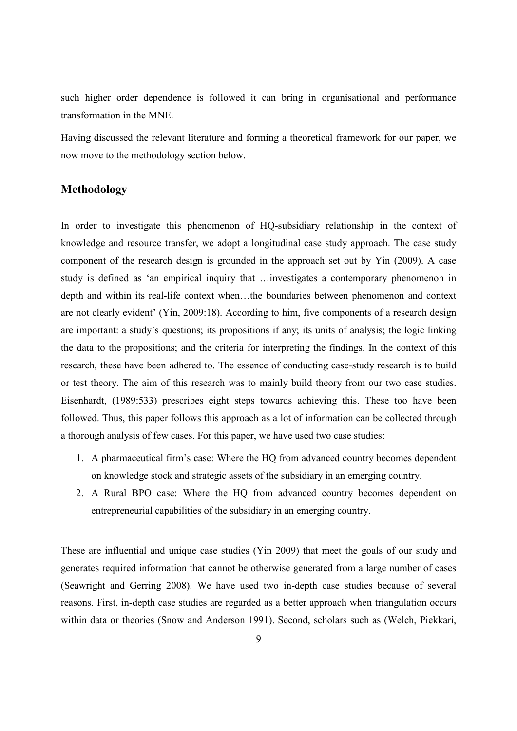such higher order dependence is followed it can bring in organisational and performance transformation in the MNE.

Having discussed the relevant literature and forming a theoretical framework for our paper, we now move to the methodology section below.

## **Methodology**

In order to investigate this phenomenon of HQ-subsidiary relationship in the context of knowledge and resource transfer, we adopt a longitudinal case study approach. The case study component of the research design is grounded in the approach set out by Yin (2009). A case study is defined as 'an empirical inquiry that …investigates a contemporary phenomenon in depth and within its real-life context when…the boundaries between phenomenon and context are not clearly evident' (Yin, 2009:18). According to him, five components of a research design are important: a study's questions; its propositions if any; its units of analysis; the logic linking the data to the propositions; and the criteria for interpreting the findings. In the context of this research, these have been adhered to. The essence of conducting case-study research is to build or test theory. The aim of this research was to mainly build theory from our two case studies. Eisenhardt, (1989:533) prescribes eight steps towards achieving this. These too have been followed. Thus, this paper follows this approach as a lot of information can be collected through a thorough analysis of few cases. For this paper, we have used two case studies:

- 1. A pharmaceutical firm's case: Where the HQ from advanced country becomes dependent on knowledge stock and strategic assets of the subsidiary in an emerging country.
- 2. A Rural BPO case: Where the HQ from advanced country becomes dependent on entrepreneurial capabilities of the subsidiary in an emerging country.

These are influential and unique case studies (Yin 2009) that meet the goals of our study and generates required information that cannot be otherwise generated from a large number of cases (Seawright and Gerring 2008). We have used two in-depth case studies because of several reasons. First, in-depth case studies are regarded as a better approach when triangulation occurs within data or theories (Snow and Anderson 1991). Second, scholars such as (Welch, Piekkari,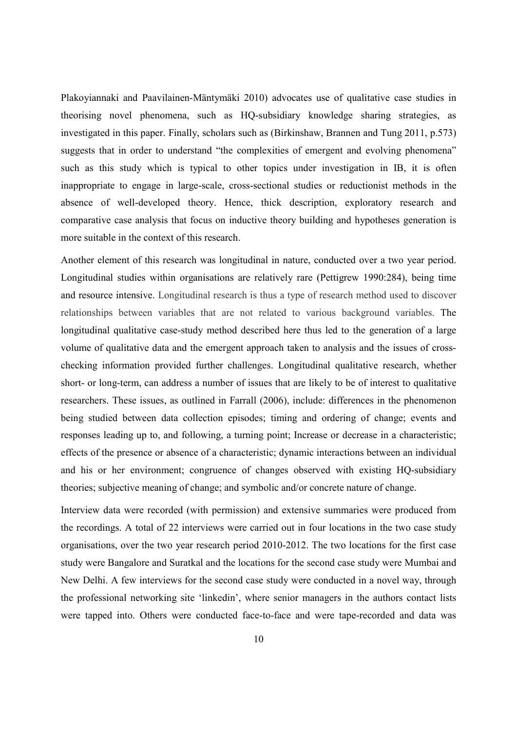Plakoyiannaki and Paavilainen-Mäntymäki 2010) advocates use of qualitative case studies in theorising novel phenomena, such as HQ-subsidiary knowledge sharing strategies, as investigated in this paper. Finally, scholars such as (Birkinshaw, Brannen and Tung 2011, p.573) suggests that in order to understand "the complexities of emergent and evolving phenomena" such as this study which is typical to other topics under investigation in IB, it is often inappropriate to engage in large-scale, cross-sectional studies or reductionist methods in the absence of well-developed theory. Hence, thick description, exploratory research and comparative case analysis that focus on inductive theory building and hypotheses generation is more suitable in the context of this research.

Another element of this research was longitudinal in nature, conducted over a two year period. Longitudinal studies within organisations are relatively rare (Pettigrew 1990:284), being time and resource intensive. Longitudinal research is thus a type of research method used to discover relationships between variables that are not related to various background variables. The longitudinal qualitative case-study method described here thus led to the generation of a large volume of qualitative data and the emergent approach taken to analysis and the issues of crosschecking information provided further challenges. Longitudinal qualitative research, whether short- or long-term, can address a number of issues that are likely to be of interest to qualitative researchers. These issues, as outlined in Farrall (2006), include: differences in the phenomenon being studied between data collection episodes; timing and ordering of change; events and responses leading up to, and following, a turning point; Increase or decrease in a characteristic; effects of the presence or absence of a characteristic; dynamic interactions between an individual and his or her environment; congruence of changes observed with existing HQ-subsidiary theories; subjective meaning of change; and symbolic and/or concrete nature of change.

Interview data were recorded (with permission) and extensive summaries were produced from the recordings. A total of 22 interviews were carried out in four locations in the two case study organisations, over the two year research period 2010-2012. The two locations for the first case study were Bangalore and Suratkal and the locations for the second case study were Mumbai and New Delhi. A few interviews for the second case study were conducted in a novel way, through the professional networking site 'linkedin', where senior managers in the authors contact lists were tapped into. Others were conducted face-to-face and were tape-recorded and data was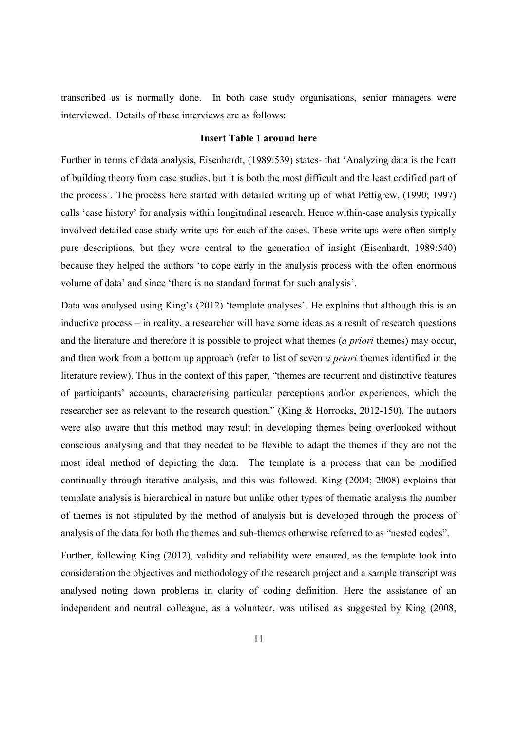transcribed as is normally done. In both case study organisations, senior managers were interviewed. Details of these interviews are as follows:

#### **Insert Table 1 around here**

Further in terms of data analysis, Eisenhardt, (1989:539) states- that 'Analyzing data is the heart of building theory from case studies, but it is both the most difficult and the least codified part of the process'. The process here started with detailed writing up of what Pettigrew, (1990; 1997) calls 'case history' for analysis within longitudinal research. Hence within-case analysis typically involved detailed case study write-ups for each of the cases. These write-ups were often simply pure descriptions, but they were central to the generation of insight (Eisenhardt, 1989:540) because they helped the authors 'to cope early in the analysis process with the often enormous volume of data' and since 'there is no standard format for such analysis'.

Data was analysed using King's (2012) 'template analyses'. He explains that although this is an inductive process – in reality, a researcher will have some ideas as a result of research questions and the literature and therefore it is possible to project what themes (*a priori* themes) may occur, and then work from a bottom up approach (refer to list of seven *a priori* themes identified in the literature review). Thus in the context of this paper, "themes are recurrent and distinctive features of participants' accounts, characterising particular perceptions and/or experiences, which the researcher see as relevant to the research question." (King & Horrocks, 2012-150). The authors were also aware that this method may result in developing themes being overlooked without conscious analysing and that they needed to be flexible to adapt the themes if they are not the most ideal method of depicting the data. The template is a process that can be modified continually through iterative analysis, and this was followed. King (2004; 2008) explains that template analysis is hierarchical in nature but unlike other types of thematic analysis the number of themes is not stipulated by the method of analysis but is developed through the process of analysis of the data for both the themes and sub-themes otherwise referred to as "nested codes".

Further, following King (2012), validity and reliability were ensured, as the template took into consideration the objectives and methodology of the research project and a sample transcript was analysed noting down problems in clarity of coding definition. Here the assistance of an independent and neutral colleague, as a volunteer, was utilised as suggested by King (2008,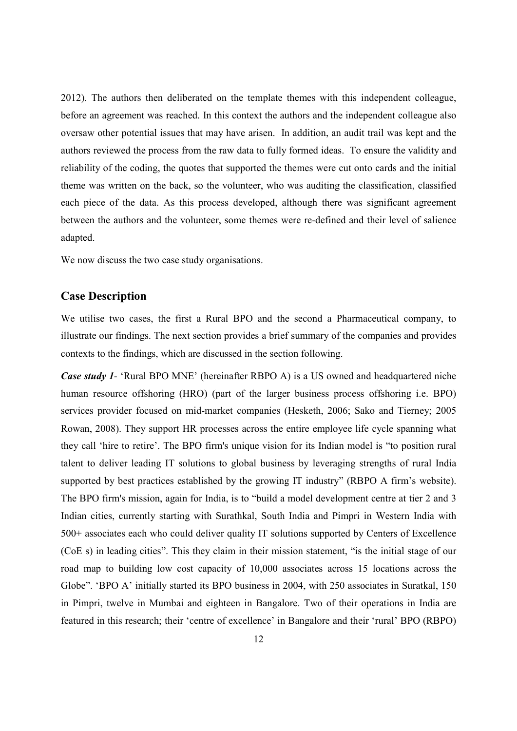2012). The authors then deliberated on the template themes with this independent colleague, before an agreement was reached. In this context the authors and the independent colleague also oversaw other potential issues that may have arisen. In addition, an audit trail was kept and the authors reviewed the process from the raw data to fully formed ideas. To ensure the validity and reliability of the coding, the quotes that supported the themes were cut onto cards and the initial theme was written on the back, so the volunteer, who was auditing the classification, classified each piece of the data. As this process developed, although there was significant agreement between the authors and the volunteer, some themes were re-defined and their level of salience adapted.

We now discuss the two case study organisations.

#### **Case Description**

We utilise two cases, the first a Rural BPO and the second a Pharmaceutical company, to illustrate our findings. The next section provides a brief summary of the companies and provides contexts to the findings, which are discussed in the section following.

*Case study 1*- 'Rural BPO MNE' (hereinafter RBPO A) is a US owned and headquartered niche human resource offshoring (HRO) (part of the larger business process offshoring i.e. BPO) services provider focused on mid-market companies (Hesketh, 2006; Sako and Tierney; 2005 Rowan, 2008). They support HR processes across the entire employee life cycle spanning what they call 'hire to retire'. The BPO firm's unique vision for its Indian model is "to position rural talent to deliver leading IT solutions to global business by leveraging strengths of rural India supported by best practices established by the growing IT industry" (RBPO A firm's website). The BPO firm's mission, again for India, is to "build a model development centre at tier 2 and 3 Indian cities, currently starting with Surathkal, South India and Pimpri in Western India with 500+ associates each who could deliver quality IT solutions supported by Centers of Excellence (CoE s) in leading cities". This they claim in their mission statement, "is the initial stage of our road map to building low cost capacity of 10,000 associates across 15 locations across the Globe". 'BPO A' initially started its BPO business in 2004, with 250 associates in Suratkal, 150 in Pimpri, twelve in Mumbai and eighteen in Bangalore. Two of their operations in India are featured in this research; their 'centre of excellence' in Bangalore and their 'rural' BPO (RBPO)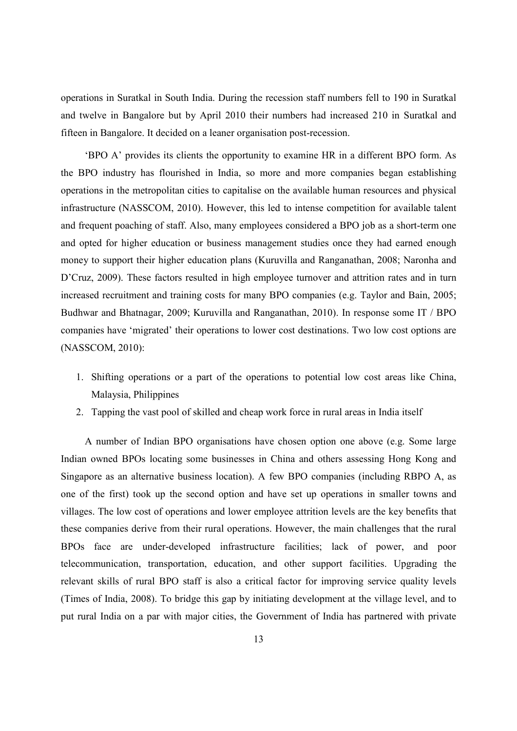operations in Suratkal in South India. During the recession staff numbers fell to 190 in Suratkal and twelve in Bangalore but by April 2010 their numbers had increased 210 in Suratkal and fifteen in Bangalore. It decided on a leaner organisation post-recession.

'BPO A' provides its clients the opportunity to examine HR in a different BPO form. As the BPO industry has flourished in India, so more and more companies began establishing operations in the metropolitan cities to capitalise on the available human resources and physical infrastructure (NASSCOM, 2010). However, this led to intense competition for available talent and frequent poaching of staff. Also, many employees considered a BPO job as a short-term one and opted for higher education or business management studies once they had earned enough money to support their higher education plans (Kuruvilla and Ranganathan, 2008; Naronha and D'Cruz, 2009). These factors resulted in high employee turnover and attrition rates and in turn increased recruitment and training costs for many BPO companies (e.g. Taylor and Bain, 2005; Budhwar and Bhatnagar, 2009; Kuruvilla and Ranganathan, 2010). In response some IT / BPO companies have 'migrated' their operations to lower cost destinations. Two low cost options are (NASSCOM, 2010):

- 1. Shifting operations or a part of the operations to potential low cost areas like China, Malaysia, Philippines
- 2. Tapping the vast pool of skilled and cheap work force in rural areas in India itself

A number of Indian BPO organisations have chosen option one above (e.g. Some large Indian owned BPOs locating some businesses in China and others assessing Hong Kong and Singapore as an alternative business location). A few BPO companies (including RBPO A, as one of the first) took up the second option and have set up operations in smaller towns and villages. The low cost of operations and lower employee attrition levels are the key benefits that these companies derive from their rural operations. However, the main challenges that the rural BPOs face are under-developed infrastructure facilities; lack of power, and poor telecommunication, transportation, education, and other support facilities. Upgrading the relevant skills of rural BPO staff is also a critical factor for improving service quality levels (Times of India, 2008). To bridge this gap by initiating development at the village level, and to put rural India on a par with major cities, the Government of India has partnered with private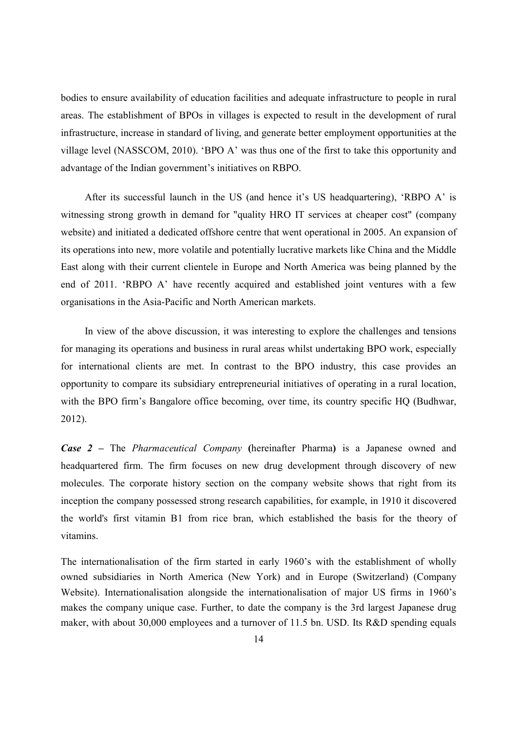bodies to ensure availability of education facilities and adequate infrastructure to people in rural areas. The establishment of BPOs in villages is expected to result in the development of rural infrastructure, increase in standard of living, and generate better employment opportunities at the village level (NASSCOM, 2010). 'BPO A' was thus one of the first to take this opportunity and advantage of the Indian government's initiatives on RBPO.

After its successful launch in the US (and hence it's US headquartering), 'RBPO A' is witnessing strong growth in demand for "quality HRO IT services at cheaper cost" (company website) and initiated a dedicated offshore centre that went operational in 2005. An expansion of its operations into new, more volatile and potentially lucrative markets like China and the Middle East along with their current clientele in Europe and North America was being planned by the end of 2011. 'RBPO A' have recently acquired and established joint ventures with a few organisations in the Asia-Pacific and North American markets.

In view of the above discussion, it was interesting to explore the challenges and tensions for managing its operations and business in rural areas whilst undertaking BPO work, especially for international clients are met. In contrast to the BPO industry, this case provides an opportunity to compare its subsidiary entrepreneurial initiatives of operating in a rural location, with the BPO firm's Bangalore office becoming, over time, its country specific HQ (Budhwar, 2012).

*Case 2 –* The *Pharmaceutical Company* **(**hereinafter Pharma**)** is a Japanese owned and headquartered firm. The firm focuses on new drug development through discovery of new molecules. The corporate history section on the company website shows that right from its inception the company possessed strong research capabilities, for example, in 1910 it discovered the world's first vitamin B1 from rice bran, which established the basis for the theory of vitamins.

The internationalisation of the firm started in early 1960's with the establishment of wholly owned subsidiaries in North America (New York) and in Europe (Switzerland) (Company Website). Internationalisation alongside the internationalisation of major US firms in 1960's makes the company unique case. Further, to date the company is the 3rd largest Japanese drug maker, with about 30,000 employees and a turnover of 11.5 bn. USD. Its R&D spending equals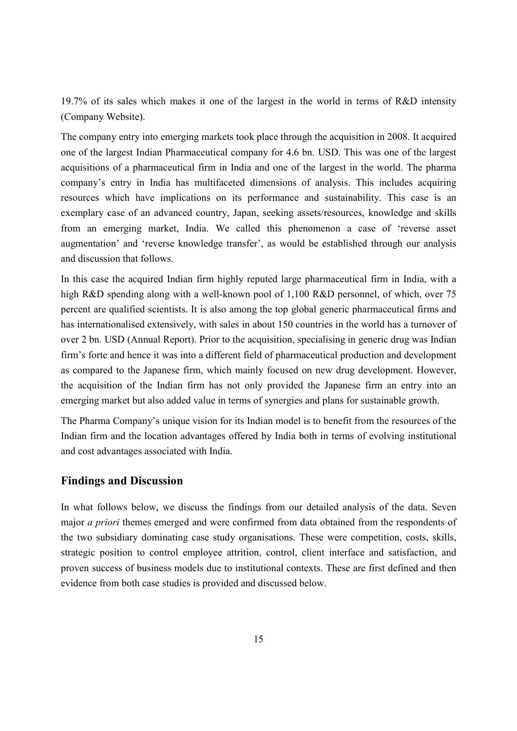19.7% of its sales which makes it one of the largest in the world in terms of R&D intensity (Company Website).

The company entry into emerging markets took place through the acquisition in 2008. It acquired one of the largest Indian Pharmaceutical company for 4.6 bn. USD. This was one of the largest acquisitions of a pharmaceutical firm in India and one of the largest in the world. The pharma company's entry in India has multifaceted dimensions of analysis. This includes acquiring resources which have implications on its performance and sustainability. This case is an exemplary case of an advanced country, Japan, seeking assets/resources, knowledge and skills from an emerging market, India. We called this phenomenon a case of 'reverse asset augmentation' and 'reverse knowledge transfer', as would be established through our analysis and discussion that follows.

In this case the acquired Indian firm highly reputed large pharmaceutical firm in India, with a high R&D spending along with a well-known pool of 1,100 R&D personnel, of which, over 75 percent are qualified scientists. It is also among the top global generic pharmaceutical firms and has internationalised extensively, with sales in about 150 countries in the world has a turnover of over 2 bn. USD (Annual Report). Prior to the acquisition, specialising in generic drug was Indian firm's forte and hence it was into a different field of pharmaceutical production and development as compared to the Japanese firm, which mainly focused on new drug development. However, the acquisition of the Indian firm has not only provided the Japanese firm an entry into an emerging market but also added value in terms of synergies and plans for sustainable growth.

The Pharma Company's unique vision for its Indian model is to benefit from the resources of the Indian firm and the location advantages offered by India both in terms of evolving institutional and cost advantages associated with India.

## **Findings and Discussion**

In what follows below, we discuss the findings from our detailed analysis of the data. Seven major *a priori* themes emerged and were confirmed from data obtained from the respondents of the two subsidiary dominating case study organisations. These were competition, costs, skills, strategic position to control employee attrition, control, client interface and satisfaction, and proven success of business models due to institutional contexts. These are first defined and then evidence from both case studies is provided and discussed below.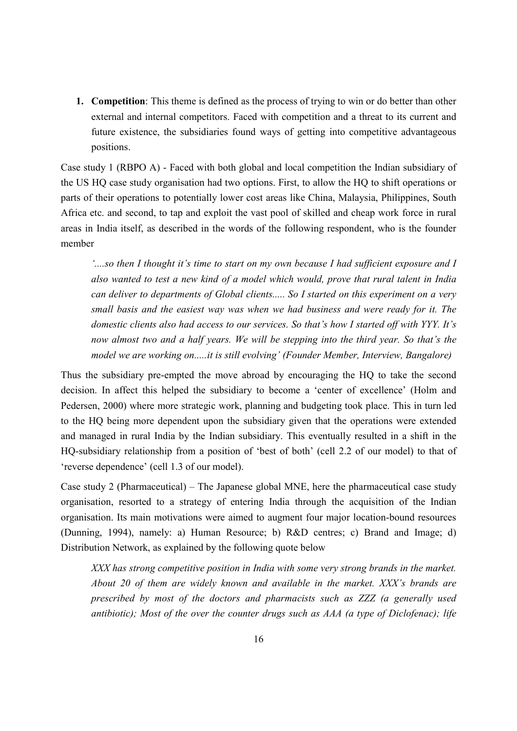**1. Competition**: This theme is defined as the process of trying to win or do better than other external and internal competitors. Faced with competition and a threat to its current and future existence, the subsidiaries found ways of getting into competitive advantageous positions.

Case study 1 (RBPO A) - Faced with both global and local competition the Indian subsidiary of the US HQ case study organisation had two options. First, to allow the HQ to shift operations or parts of their operations to potentially lower cost areas like China, Malaysia, Philippines, South Africa etc. and second, to tap and exploit the vast pool of skilled and cheap work force in rural areas in India itself, as described in the words of the following respondent, who is the founder member

*'....so then I thought it's time to start on my own because I had sufficient exposure and I also wanted to test a new kind of a model which would, prove that rural talent in India can deliver to departments of Global clients..... So I started on this experiment on a very small basis and the easiest way was when we had business and were ready for it. The domestic clients also had access to our services. So that's how I started off with YYY. It's now almost two and a half years. We will be stepping into the third year. So that's the model we are working on.....it is still evolving' (Founder Member, Interview, Bangalore)* 

Thus the subsidiary pre-empted the move abroad by encouraging the HQ to take the second decision. In affect this helped the subsidiary to become a 'center of excellence' (Holm and Pedersen, 2000) where more strategic work, planning and budgeting took place. This in turn led to the HQ being more dependent upon the subsidiary given that the operations were extended and managed in rural India by the Indian subsidiary. This eventually resulted in a shift in the HQ-subsidiary relationship from a position of 'best of both' (cell 2.2 of our model) to that of 'reverse dependence' (cell 1.3 of our model).

Case study 2 (Pharmaceutical) – The Japanese global MNE, here the pharmaceutical case study organisation, resorted to a strategy of entering India through the acquisition of the Indian organisation. Its main motivations were aimed to augment four major location-bound resources (Dunning, 1994), namely: a) Human Resource; b) R&D centres; c) Brand and Image; d) Distribution Network, as explained by the following quote below

*XXX has strong competitive position in India with some very strong brands in the market. About 20 of them are widely known and available in the market. XXX's brands are prescribed by most of the doctors and pharmacists such as ZZZ (a generally used antibiotic); Most of the over the counter drugs such as AAA (a type of Diclofenac); life*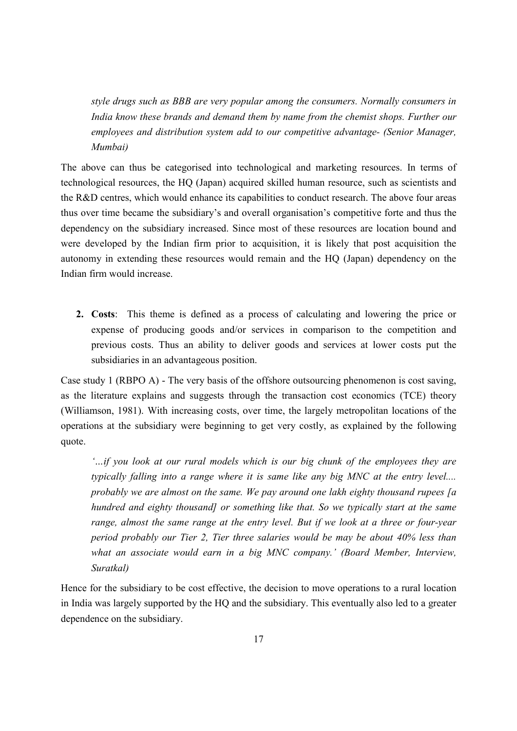*style drugs such as BBB are very popular among the consumers. Normally consumers in India know these brands and demand them by name from the chemist shops. Further our employees and distribution system add to our competitive advantage- (Senior Manager, Mumbai)*

The above can thus be categorised into technological and marketing resources. In terms of technological resources, the HQ (Japan) acquired skilled human resource, such as scientists and the R&D centres, which would enhance its capabilities to conduct research. The above four areas thus over time became the subsidiary's and overall organisation's competitive forte and thus the dependency on the subsidiary increased. Since most of these resources are location bound and were developed by the Indian firm prior to acquisition, it is likely that post acquisition the autonomy in extending these resources would remain and the HQ (Japan) dependency on the Indian firm would increase.

**2. Costs**: This theme is defined as a process of calculating and lowering the price or expense of producing goods and/or services in comparison to the competition and previous costs. Thus an ability to deliver goods and services at lower costs put the subsidiaries in an advantageous position.

Case study 1 (RBPO A) - The very basis of the offshore outsourcing phenomenon is cost saving, as the literature explains and suggests through the transaction cost economics (TCE) theory (Williamson, 1981). With increasing costs, over time, the largely metropolitan locations of the operations at the subsidiary were beginning to get very costly, as explained by the following quote.

*'…if you look at our rural models which is our big chunk of the employees they are typically falling into a range where it is same like any big MNC at the entry level.... probably we are almost on the same. We pay around one lakh eighty thousand rupees [a hundred and eighty thousand] or something like that. So we typically start at the same range, almost the same range at the entry level. But if we look at a three or four-year period probably our Tier 2, Tier three salaries would be may be about 40% less than*  what an associate would earn in a big MNC company.' (Board Member, Interview, *Suratkal)* 

Hence for the subsidiary to be cost effective, the decision to move operations to a rural location in India was largely supported by the HQ and the subsidiary. This eventually also led to a greater dependence on the subsidiary.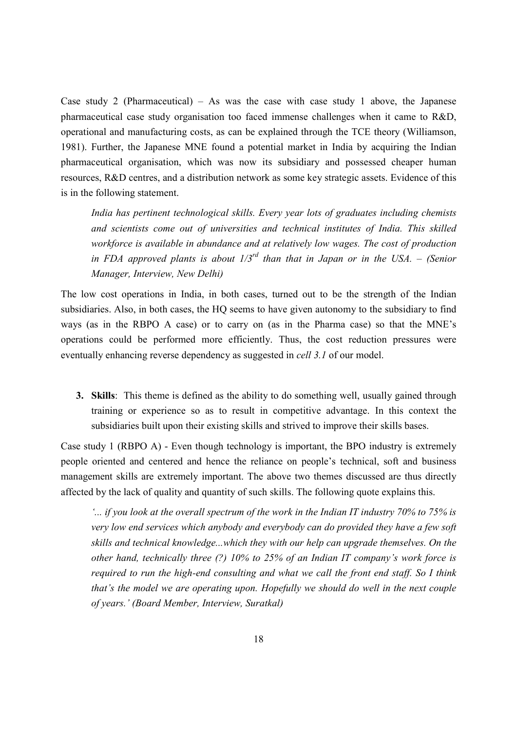Case study 2 (Pharmaceutical) – As was the case with case study 1 above, the Japanese pharmaceutical case study organisation too faced immense challenges when it came to R&D, operational and manufacturing costs, as can be explained through the TCE theory (Williamson, 1981). Further, the Japanese MNE found a potential market in India by acquiring the Indian pharmaceutical organisation, which was now its subsidiary and possessed cheaper human resources, R&D centres, and a distribution network as some key strategic assets. Evidence of this is in the following statement.

*India has pertinent technological skills. Every year lots of graduates including chemists and scientists come out of universities and technical institutes of India. This skilled workforce is available in abundance and at relatively low wages. The cost of production in FDA approved plants is about 1/3rd than that in Japan or in the USA. – (Senior Manager, Interview, New Delhi)*

The low cost operations in India, in both cases, turned out to be the strength of the Indian subsidiaries. Also, in both cases, the HQ seems to have given autonomy to the subsidiary to find ways (as in the RBPO A case) or to carry on (as in the Pharma case) so that the MNE's operations could be performed more efficiently. Thus, the cost reduction pressures were eventually enhancing reverse dependency as suggested in *cell 3.1* of our model.

**3. Skills**: This theme is defined as the ability to do something well, usually gained through training or experience so as to result in competitive advantage. In this context the subsidiaries built upon their existing skills and strived to improve their skills bases.

Case study 1 (RBPO A) - Even though technology is important, the BPO industry is extremely people oriented and centered and hence the reliance on people's technical, soft and business management skills are extremely important. The above two themes discussed are thus directly affected by the lack of quality and quantity of such skills. The following quote explains this.

*'... if you look at the overall spectrum of the work in the Indian IT industry 70% to 75% is very low end services which anybody and everybody can do provided they have a few soft skills and technical knowledge...which they with our help can upgrade themselves. On the other hand, technically three (?) 10% to 25% of an Indian IT company's work force is required to run the high-end consulting and what we call the front end staff. So I think that's the model we are operating upon. Hopefully we should do well in the next couple of years.' (Board Member, Interview, Suratkal)*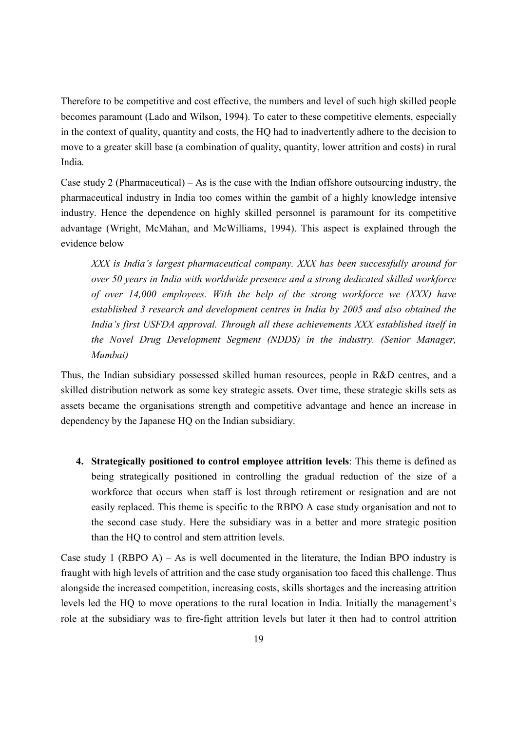Therefore to be competitive and cost effective, the numbers and level of such high skilled people becomes paramount (Lado and Wilson, 1994). To cater to these competitive elements, especially in the context of quality, quantity and costs, the HQ had to inadvertently adhere to the decision to move to a greater skill base (a combination of quality, quantity, lower attrition and costs) in rural India.

Case study 2 (Pharmaceutical) – As is the case with the Indian offshore outsourcing industry, the pharmaceutical industry in India too comes within the gambit of a highly knowledge intensive industry. Hence the dependence on highly skilled personnel is paramount for its competitive advantage (Wright, McMahan, and McWilliams, 1994). This aspect is explained through the evidence below

*XXX is India's largest pharmaceutical company. XXX has been successfully around for over 50 years in India with worldwide presence and a strong dedicated skilled workforce of over 14,000 employees. With the help of the strong workforce we (XXX) have established 3 research and development centres in India by 2005 and also obtained the India's first USFDA approval. Through all these achievements XXX established itself in the Novel Drug Development Segment (NDDS) in the industry. (Senior Manager, Mumbai)*

Thus, the Indian subsidiary possessed skilled human resources, people in R&D centres, and a skilled distribution network as some key strategic assets. Over time, these strategic skills sets as assets became the organisations strength and competitive advantage and hence an increase in dependency by the Japanese HQ on the Indian subsidiary.

**4. Strategically positioned to control employee attrition levels**: This theme is defined as being strategically positioned in controlling the gradual reduction of the size of a workforce that occurs when staff is lost through retirement or resignation and are not easily replaced. This theme is specific to the RBPO A case study organisation and not to the second case study. Here the subsidiary was in a better and more strategic position than the HQ to control and stem attrition levels.

Case study 1 (RBPO A) – As is well documented in the literature, the Indian BPO industry is fraught with high levels of attrition and the case study organisation too faced this challenge. Thus alongside the increased competition, increasing costs, skills shortages and the increasing attrition levels led the HQ to move operations to the rural location in India. Initially the management's role at the subsidiary was to fire-fight attrition levels but later it then had to control attrition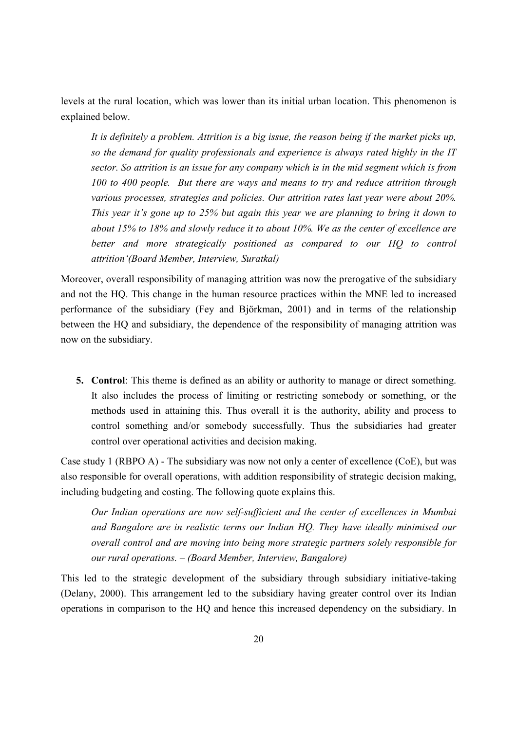levels at the rural location, which was lower than its initial urban location. This phenomenon is explained below.

*It is definitely a problem. Attrition is a big issue, the reason being if the market picks up, so the demand for quality professionals and experience is always rated highly in the IT sector. So attrition is an issue for any company which is in the mid segment which is from 100 to 400 people. But there are ways and means to try and reduce attrition through various processes, strategies and policies. Our attrition rates last year were about 20%. This year it's gone up to 25% but again this year we are planning to bring it down to about 15% to 18% and slowly reduce it to about 10%. We as the center of excellence are better and more strategically positioned as compared to our HQ to control attrition'(Board Member, Interview, Suratkal)* 

Moreover, overall responsibility of managing attrition was now the prerogative of the subsidiary and not the HQ. This change in the human resource practices within the MNE led to increased performance of the subsidiary (Fey and Björkman, 2001) and in terms of the relationship between the HQ and subsidiary, the dependence of the responsibility of managing attrition was now on the subsidiary.

**5. Control**: This theme is defined as an ability or authority to manage or direct something. It also includes the process of limiting or restricting somebody or something, or the methods used in attaining this. Thus overall it is the authority, ability and process to control something and/or somebody successfully. Thus the subsidiaries had greater control over operational activities and decision making.

Case study 1 (RBPO A) - The subsidiary was now not only a center of excellence (CoE), but was also responsible for overall operations, with addition responsibility of strategic decision making, including budgeting and costing. The following quote explains this.

*Our Indian operations are now self-sufficient and the center of excellences in Mumbai and Bangalore are in realistic terms our Indian HQ. They have ideally minimised our overall control and are moving into being more strategic partners solely responsible for our rural operations. – (Board Member, Interview, Bangalore)* 

This led to the strategic development of the subsidiary through subsidiary initiative-taking (Delany, 2000). This arrangement led to the subsidiary having greater control over its Indian operations in comparison to the HQ and hence this increased dependency on the subsidiary. In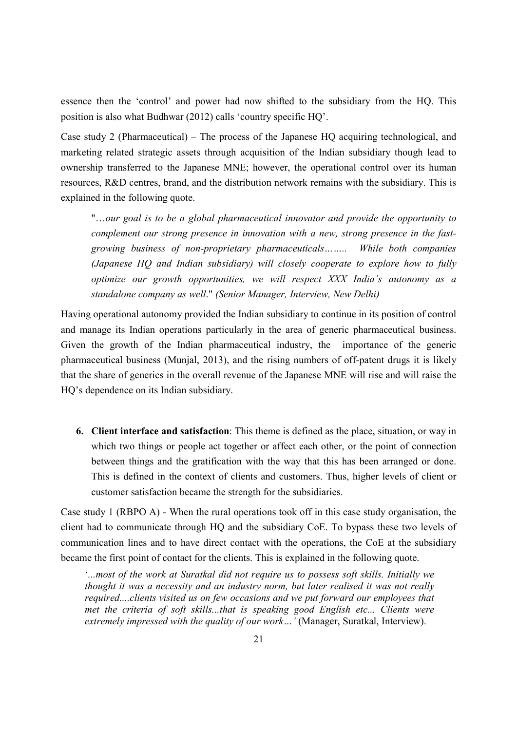essence then the 'control' and power had now shifted to the subsidiary from the HQ. This position is also what Budhwar (2012) calls 'country specific HQ'.

Case study 2 (Pharmaceutical) – The process of the Japanese HQ acquiring technological, and marketing related strategic assets through acquisition of the Indian subsidiary though lead to ownership transferred to the Japanese MNE; however, the operational control over its human resources, R&D centres, brand, and the distribution network remains with the subsidiary. This is explained in the following quote.

"…*our goal is to be a global pharmaceutical innovator and provide the opportunity to complement our strong presence in innovation with a new, strong presence in the fastgrowing business of non-proprietary pharmaceuticals…….. While both companies (Japanese HQ and Indian subsidiary) will closely cooperate to explore how to fully optimize our growth opportunities, we will respect XXX India's autonomy as a standalone company as well*." *(Senior Manager, Interview, New Delhi)*

Having operational autonomy provided the Indian subsidiary to continue in its position of control and manage its Indian operations particularly in the area of generic pharmaceutical business. Given the growth of the Indian pharmaceutical industry, the importance of the generic pharmaceutical business (Munjal, 2013), and the rising numbers of off-patent drugs it is likely that the share of generics in the overall revenue of the Japanese MNE will rise and will raise the HQ's dependence on its Indian subsidiary.

**6. Client interface and satisfaction**: This theme is defined as the place, situation, or way in which two things or people act together or affect each other, or the point of connection between things and the gratification with the way that this has been arranged or done. This is defined in the context of clients and customers. Thus, higher levels of client or customer satisfaction became the strength for the subsidiaries.

Case study 1 (RBPO A) - When the rural operations took off in this case study organisation, the client had to communicate through HQ and the subsidiary CoE. To bypass these two levels of communication lines and to have direct contact with the operations, the CoE at the subsidiary became the first point of contact for the clients. This is explained in the following quote.

'*...most of the work at Suratkal did not require us to possess soft skills. Initially we thought it was a necessity and an industry norm, but later realised it was not really required....clients visited us on few occasions and we put forward our employees that met the criteria of soft skills...that is speaking good English etc... Clients were extremely impressed with the quality of our work…'* (Manager, Suratkal, Interview).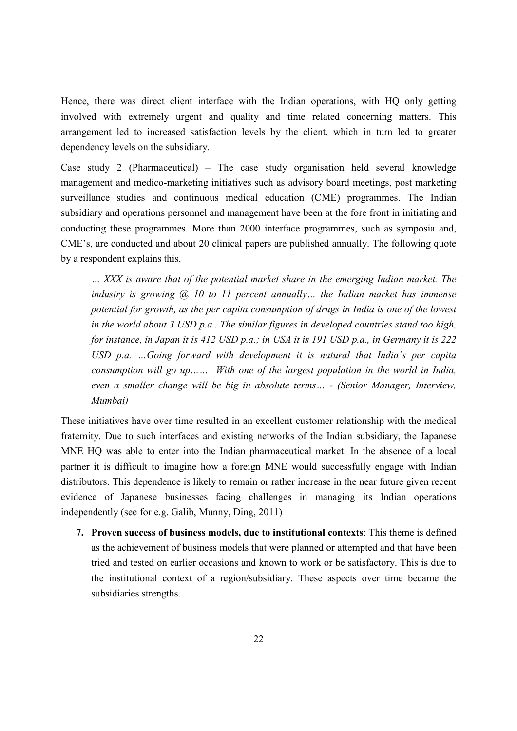Hence, there was direct client interface with the Indian operations, with HQ only getting involved with extremely urgent and quality and time related concerning matters. This arrangement led to increased satisfaction levels by the client, which in turn led to greater dependency levels on the subsidiary.

Case study 2 (Pharmaceutical) – The case study organisation held several knowledge management and medico-marketing initiatives such as advisory board meetings, post marketing surveillance studies and continuous medical education (CME) programmes. The Indian subsidiary and operations personnel and management have been at the fore front in initiating and conducting these programmes. More than 2000 interface programmes, such as symposia and, CME's, are conducted and about 20 clinical papers are published annually. The following quote by a respondent explains this.

*… XXX is aware that of the potential market share in the emerging Indian market. The industry is growing @ 10 to 11 percent annually… the Indian market has immense potential for growth, as the per capita consumption of drugs in India is one of the lowest in the world about 3 USD p.a.. The similar figures in developed countries stand too high, for instance, in Japan it is 412 USD p.a.; in USA it is 191 USD p.a., in Germany it is 222 USD p.a. …Going forward with development it is natural that India's per capita consumption will go up…… With one of the largest population in the world in India, even a smaller change will be big in absolute terms… - (Senior Manager, Interview, Mumbai)*

These initiatives have over time resulted in an excellent customer relationship with the medical fraternity. Due to such interfaces and existing networks of the Indian subsidiary, the Japanese MNE HQ was able to enter into the Indian pharmaceutical market. In the absence of a local partner it is difficult to imagine how a foreign MNE would successfully engage with Indian distributors. This dependence is likely to remain or rather increase in the near future given recent evidence of Japanese businesses facing challenges in managing its Indian operations independently (see for e.g. Galib, Munny, Ding, 2011)

**7. Proven success of business models, due to institutional contexts**: This theme is defined as the achievement of business models that were planned or attempted and that have been tried and tested on earlier occasions and known to work or be satisfactory. This is due to the institutional context of a region/subsidiary. These aspects over time became the subsidiaries strengths.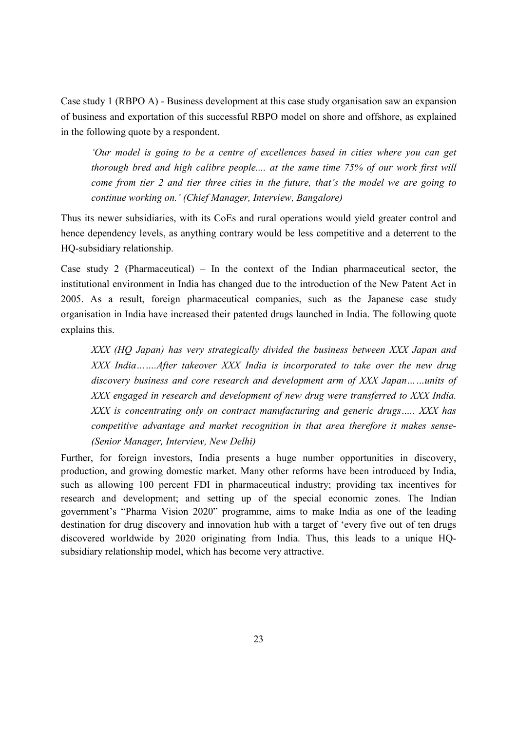Case study 1 (RBPO A) - Business development at this case study organisation saw an expansion of business and exportation of this successful RBPO model on shore and offshore, as explained in the following quote by a respondent.

*'Our model is going to be a centre of excellences based in cities where you can get thorough bred and high calibre people.... at the same time 75% of our work first will come from tier 2 and tier three cities in the future, that's the model we are going to continue working on.' (Chief Manager, Interview, Bangalore)*

Thus its newer subsidiaries, with its CoEs and rural operations would yield greater control and hence dependency levels, as anything contrary would be less competitive and a deterrent to the HQ-subsidiary relationship.

Case study 2 (Pharmaceutical) – In the context of the Indian pharmaceutical sector, the institutional environment in India has changed due to the introduction of the New Patent Act in 2005. As a result, foreign pharmaceutical companies, such as the Japanese case study organisation in India have increased their patented drugs launched in India. The following quote explains this.

*XXX (HQ Japan) has very strategically divided the business between XXX Japan and XXX India…….After takeover XXX India is incorporated to take over the new drug discovery business and core research and development arm of XXX Japan……units of XXX engaged in research and development of new drug were transferred to XXX India. XXX is concentrating only on contract manufacturing and generic drugs….. XXX has competitive advantage and market recognition in that area therefore it makes sense- (Senior Manager, Interview, New Delhi)*

Further, for foreign investors, India presents a huge number opportunities in discovery, production, and growing domestic market. Many other reforms have been introduced by India, such as allowing 100 percent FDI in pharmaceutical industry; providing tax incentives for research and development; and setting up of the special economic zones. The Indian government's "Pharma Vision 2020" programme, aims to make India as one of the leading destination for drug discovery and innovation hub with a target of 'every five out of ten drugs discovered worldwide by 2020 originating from India. Thus, this leads to a unique HQsubsidiary relationship model, which has become very attractive.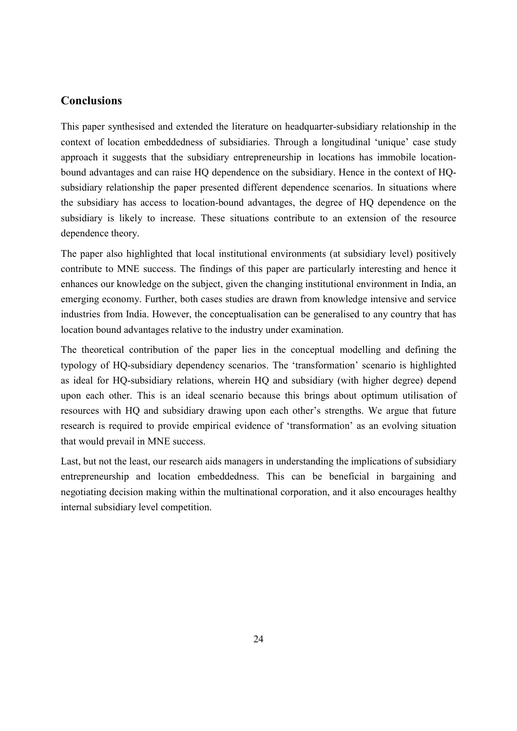## **Conclusions**

This paper synthesised and extended the literature on headquarter-subsidiary relationship in the context of location embeddedness of subsidiaries. Through a longitudinal 'unique' case study approach it suggests that the subsidiary entrepreneurship in locations has immobile locationbound advantages and can raise HQ dependence on the subsidiary. Hence in the context of HQsubsidiary relationship the paper presented different dependence scenarios. In situations where the subsidiary has access to location-bound advantages, the degree of HQ dependence on the subsidiary is likely to increase. These situations contribute to an extension of the resource dependence theory.

The paper also highlighted that local institutional environments (at subsidiary level) positively contribute to MNE success. The findings of this paper are particularly interesting and hence it enhances our knowledge on the subject, given the changing institutional environment in India, an emerging economy. Further, both cases studies are drawn from knowledge intensive and service industries from India. However, the conceptualisation can be generalised to any country that has location bound advantages relative to the industry under examination.

The theoretical contribution of the paper lies in the conceptual modelling and defining the typology of HQ-subsidiary dependency scenarios. The 'transformation' scenario is highlighted as ideal for HQ-subsidiary relations, wherein HQ and subsidiary (with higher degree) depend upon each other. This is an ideal scenario because this brings about optimum utilisation of resources with HQ and subsidiary drawing upon each other's strengths. We argue that future research is required to provide empirical evidence of 'transformation' as an evolving situation that would prevail in MNE success.

Last, but not the least, our research aids managers in understanding the implications of subsidiary entrepreneurship and location embeddedness. This can be beneficial in bargaining and negotiating decision making within the multinational corporation, and it also encourages healthy internal subsidiary level competition.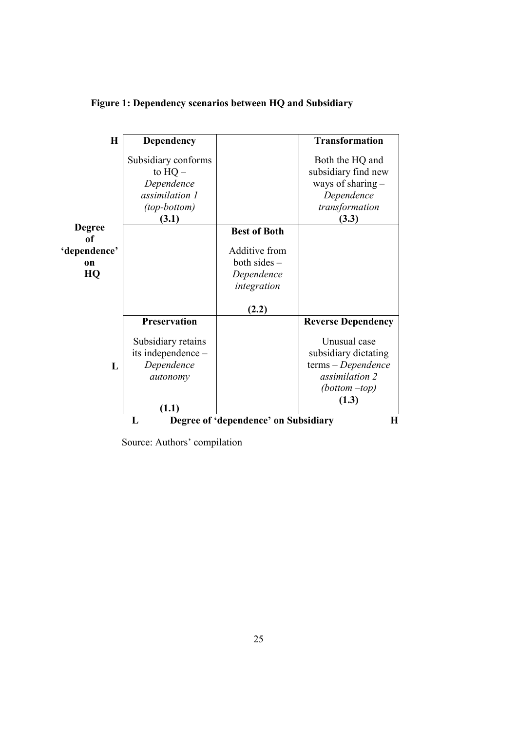| H                                                          | <b>Dependency</b>                                                                                       |                                                                      | <b>Transformation</b>                                                                                                                            |
|------------------------------------------------------------|---------------------------------------------------------------------------------------------------------|----------------------------------------------------------------------|--------------------------------------------------------------------------------------------------------------------------------------------------|
| <b>Degree</b><br>of<br>'dependence'<br><sub>on</sub><br>HQ | Subsidiary conforms<br>to $HQ -$<br>Dependence<br>assimilation 1<br>(top-bottom)<br>(3.1)               | <b>Best of Both</b><br>Additive from<br>both sides $-$<br>Dependence | Both the HQ and<br>subsidiary find new<br>ways of sharing $-$<br>Dependence<br>transformation<br>(3.3)                                           |
| L                                                          | <b>Preservation</b><br>Subsidiary retains<br>its independence -<br>Dependence<br>autonomy<br>(1.1)<br>L | integration<br>(2.2)<br>Degree of 'dependence' on Subsidiary         | <b>Reverse Dependency</b><br>Unusual case<br>subsidiary dictating<br>terms - Dependence<br>assimilation 2<br>$(bottom -top)$<br>(1.3)<br>$\bf H$ |

# **Figure 1: Dependency scenarios between HQ and Subsidiary**

Source: Authors' compilation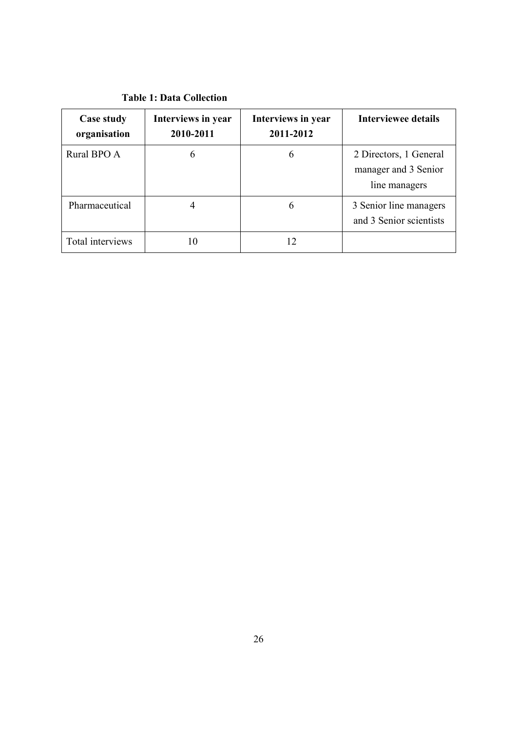| <b>Table 1: Data Collection</b> |  |
|---------------------------------|--|
|---------------------------------|--|

| Case study<br>organisation | Interviews in year<br>2010-2011 | Interviews in year<br>2011-2012 | <b>Interviewee details</b>                                      |
|----------------------------|---------------------------------|---------------------------------|-----------------------------------------------------------------|
| Rural BPO A                | 6                               | 6                               | 2 Directors, 1 General<br>manager and 3 Senior<br>line managers |
| Pharmaceutical             |                                 | b                               | 3 Senior line managers<br>and 3 Senior scientists               |
| Total interviews           |                                 | 12                              |                                                                 |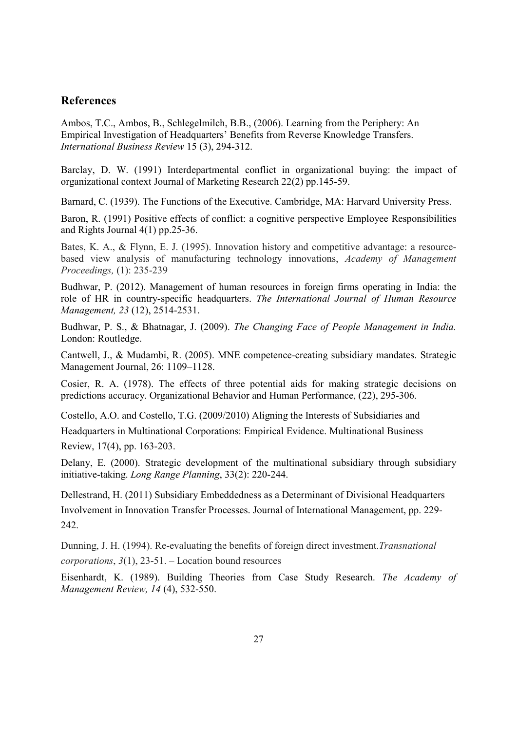## **References**

Ambos, T.C., Ambos, B., Schlegelmilch, B.B., (2006). Learning from the Periphery: An Empirical Investigation of Headquarters' Benefits from Reverse Knowledge Transfers. *International Business Review* 15 (3), 294-312.

Barclay, D. W. (1991) Interdepartmental conflict in organizational buying: the impact of organizational context Journal of Marketing Research 22(2) pp.145-59.

Barnard, C. (1939). The Functions of the Executive. Cambridge, MA: Harvard University Press.

Baron, R. (1991) Positive effects of conflict: a cognitive perspective Employee Responsibilities and Rights Journal 4(1) pp.25-36.

Bates, K. A., & Flynn, E. J. (1995). Innovation history and competitive advantage: a resourcebased view analysis of manufacturing technology innovations, *Academy of Management Proceedings,* (1): 235-239

Budhwar, P. (2012). Management of human resources in foreign firms operating in India: the role of HR in country-specific headquarters. *The International Journal of Human Resource Management, 23* (12), 2514-2531.

Budhwar, P. S., & Bhatnagar, J. (2009). *The Changing Face of People Management in India.* London: Routledge.

Cantwell, J., & Mudambi, R. (2005). MNE competence-creating subsidiary mandates. Strategic Management Journal, 26: 1109–1128.

Cosier, R. A. (1978). The effects of three potential aids for making strategic decisions on predictions accuracy. Organizational Behavior and Human Performance, (22), 295-306.

Costello, A.O. and Costello, T.G. (2009/2010) Aligning the Interests of Subsidiaries and Headquarters in Multinational Corporations: Empirical Evidence. Multinational Business Review, 17(4), pp. 163-203.

Delany, E. (2000). Strategic development of the multinational subsidiary through subsidiary initiative-taking. *Long Range Planning*, 33(2): 220-244.

Dellestrand, H. (2011) Subsidiary Embeddedness as a Determinant of Divisional Headquarters Involvement in Innovation Transfer Processes. Journal of International Management, pp. 229- 242.

Dunning, J. H. (1994). Re-evaluating the benefits of foreign direct investment.*Transnational corporations*, *3*(1), 23-51. – Location bound resources

Eisenhardt, K. (1989). Building Theories from Case Study Research. *The Academy of Management Review, 14* (4), 532-550.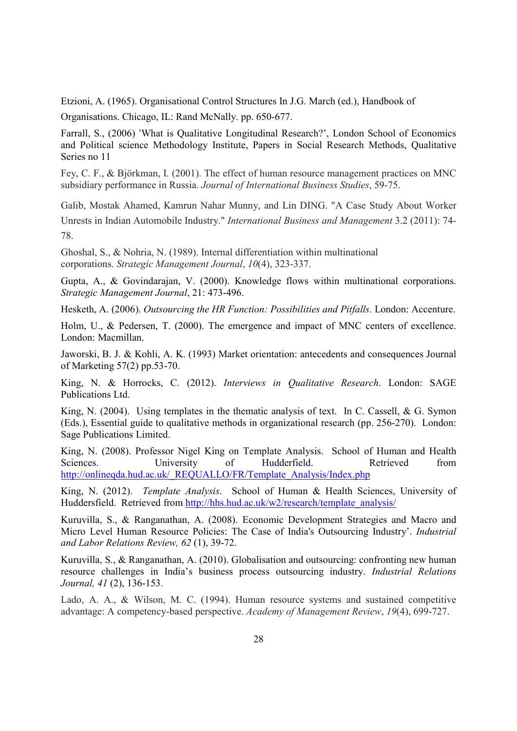Etzioni, A. (1965). Organisational Control Structures In J.G. March (ed.), Handbook of Organisations. Chicago, IL: Rand McNally. pp. 650-677.

Farrall, S., (2006) 'What is Qualitative Longitudinal Research?', London School of Economics and Political science Methodology Institute, Papers in Social Research Methods, Qualitative Series no 11

Fey, C. F., & Björkman, I. (2001). The effect of human resource management practices on MNC subsidiary performance in Russia. *Journal of International Business Studies*, 59-75.

Galib, Mostak Ahamed, Kamrun Nahar Munny, and Lin DING. "A Case Study About Worker Unrests in Indian Automobile Industry." *International Business and Management* 3.2 (2011): 74- 78.

Ghoshal, S., & Nohria, N. (1989). Internal differentiation within multinational corporations. *Strategic Management Journal*, *10*(4), 323-337.

Gupta, A., & Govindarajan, V. (2000). Knowledge flows within multinational corporations. *Strategic Management Journal*, 21: 473-496.

Hesketh, A. (2006). *Outsourcing the HR Function: Possibilities and Pitfalls.* London: Accenture.

Holm, U., & Pedersen, T. (2000). The emergence and impact of MNC centers of excellence. London: Macmillan.

Jaworski, B. J. & Kohli, A. K. (1993) Market orientation: antecedents and consequences Journal of Marketing 57(2) pp.53-70.

King, N. & Horrocks, C. (2012). *Interviews in Qualitative Research*. London: SAGE Publications Ltd.

King, N. (2004). Using templates in the thematic analysis of text. In C. Cassell, & G. Symon (Eds.), Essential guide to qualitative methods in organizational research (pp. 256-270). London: Sage Publications Limited.

King, N. (2008). Professor Nigel King on Template Analysis. School of Human and Health Sciences. University of Hudderfield. Retrieved from http://onlineqda.hud.ac.uk/\_REQUALLO/FR/Template\_Analysis/Index.php

King, N. (2012). *Template Analysis*. School of Human & Health Sciences, University of Huddersfield. Retrieved from http://hhs.hud.ac.uk/w2/research/template\_analysis/

Kuruvilla, S., & Ranganathan, A. (2008). Economic Development Strategies and Macro and Micro Level Human Resource Policies: The Case of India's Outsourcing Industry'. *Industrial and Labor Relations Review, 62* (1), 39-72.

Kuruvilla, S., & Ranganathan, A. (2010). Globalisation and outsourcing: confronting new human resource challenges in India's business process outsourcing industry. *Industrial Relations Journal, 41* (2), 136-153.

Lado, A. A., & Wilson, M. C. (1994). Human resource systems and sustained competitive advantage: A competency-based perspective. *Academy of Management Review*, *19*(4), 699-727.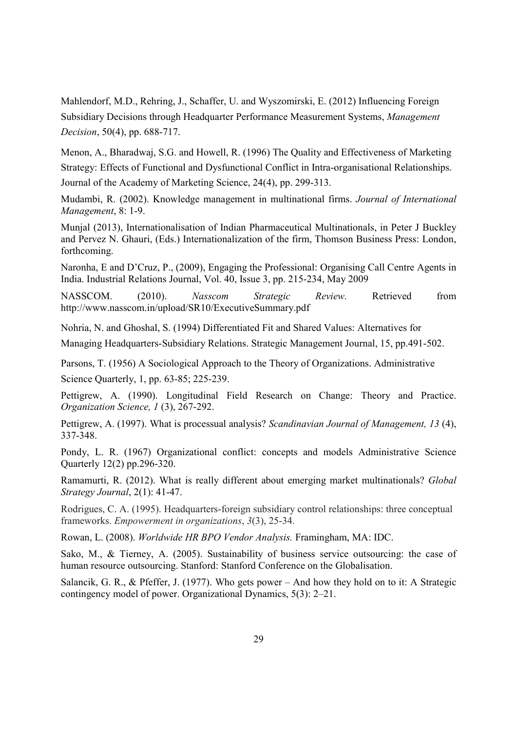Mahlendorf, M.D., Rehring, J., Schaffer, U. and Wyszomirski, E. (2012) Influencing Foreign Subsidiary Decisions through Headquarter Performance Measurement Systems, *Management Decision*, 50(4), pp. 688-717.

Menon, A., Bharadwaj, S.G. and Howell, R. (1996) The Quality and Effectiveness of Marketing Strategy: Effects of Functional and Dysfunctional Conflict in Intra-organisational Relationships.

Journal of the Academy of Marketing Science, 24(4), pp. 299-313.

Mudambi, R. (2002). Knowledge management in multinational firms. *Journal of International Management*, 8: 1-9.

Munjal (2013), Internationalisation of Indian Pharmaceutical Multinationals, in Peter J Buckley and Pervez N. Ghauri, (Eds.) Internationalization of the firm, Thomson Business Press: London, forthcoming.

Naronha, E and D'Cruz, P., (2009), Engaging the Professional: Organising Call Centre Agents in India. Industrial Relations Journal, Vol. 40, Issue 3, pp. 215-234, May 2009

NASSCOM. (2010). *Nasscom Strategic Review.* Retrieved from http://www.nasscom.in/upload/SR10/ExecutiveSummary.pdf

Nohria, N. and Ghoshal, S. (1994) Differentiated Fit and Shared Values: Alternatives for Managing Headquarters-Subsidiary Relations. Strategic Management Journal, 15, pp.491-502.

Parsons, T. (1956) A Sociological Approach to the Theory of Organizations. Administrative Science Quarterly, 1, pp. 63-85; 225-239.

Pettigrew, A. (1990). Longitudinal Field Research on Change: Theory and Practice. *Organization Science, 1* (3), 267-292.

Pettigrew, A. (1997). What is processual analysis? *Scandinavian Journal of Management, 13* (4), 337-348.

Pondy, L. R. (1967) Organizational conflict: concepts and models Administrative Science Quarterly 12(2) pp.296-320.

Ramamurti, R. (2012). What is really different about emerging market multinationals? *Global Strategy Journal*, 2(1): 41-47.

Rodrigues, C. A. (1995). Headquarters-foreign subsidiary control relationships: three conceptual frameworks. *Empowerment in organizations*, *3*(3), 25-34.

Rowan, L. (2008). *Worldwide HR BPO Vendor Analysis.* Framingham, MA: IDC.

Sako, M., & Tierney, A. (2005). Sustainability of business service outsourcing: the case of human resource outsourcing. Stanford: Stanford Conference on the Globalisation.

Salancik, G. R., & Pfeffer, J. (1977). Who gets power – And how they hold on to it: A Strategic contingency model of power. Organizational Dynamics, 5(3): 2–21.